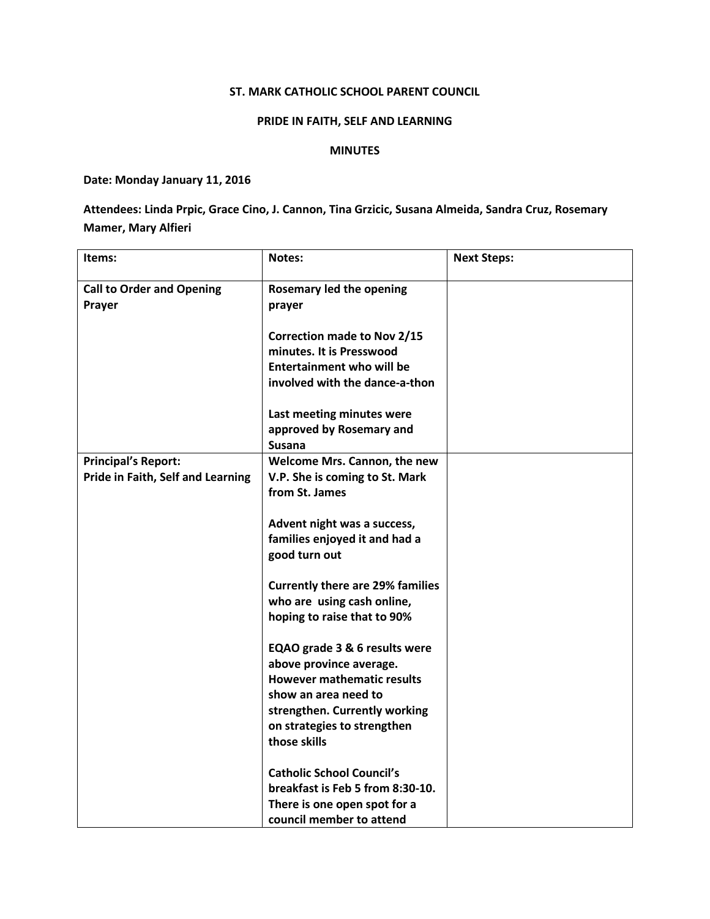## ST. MARK CATHOLIC SCHOOL PARENT COUNCIL

## PRIDE IN FAITH, SELF AND LEARNING

## MINUTES

Date: Monday January 11, 2016

Attendees: Linda Prpic, Grace Cino, J. Cannon, Tina Grzicic, Susana Almeida, Sandra Cruz, Rosemary Mamer, Mary Alfieri

| Items:                            | <b>Notes:</b>                           | <b>Next Steps:</b> |
|-----------------------------------|-----------------------------------------|--------------------|
| <b>Call to Order and Opening</b>  | Rosemary led the opening                |                    |
| Prayer                            | prayer                                  |                    |
|                                   |                                         |                    |
|                                   | <b>Correction made to Nov 2/15</b>      |                    |
|                                   | minutes. It is Presswood                |                    |
|                                   | <b>Entertainment who will be</b>        |                    |
|                                   | involved with the dance-a-thon          |                    |
|                                   |                                         |                    |
|                                   | Last meeting minutes were               |                    |
|                                   | approved by Rosemary and                |                    |
|                                   | <b>Susana</b>                           |                    |
| <b>Principal's Report:</b>        | Welcome Mrs. Cannon, the new            |                    |
| Pride in Faith, Self and Learning | V.P. She is coming to St. Mark          |                    |
|                                   | from St. James                          |                    |
|                                   |                                         |                    |
|                                   | Advent night was a success,             |                    |
|                                   | families enjoyed it and had a           |                    |
|                                   | good turn out                           |                    |
|                                   | <b>Currently there are 29% families</b> |                    |
|                                   | who are using cash online,              |                    |
|                                   | hoping to raise that to 90%             |                    |
|                                   |                                         |                    |
|                                   | EQAO grade 3 & 6 results were           |                    |
|                                   | above province average.                 |                    |
|                                   | <b>However mathematic results</b>       |                    |
|                                   | show an area need to                    |                    |
|                                   | strengthen. Currently working           |                    |
|                                   | on strategies to strengthen             |                    |
|                                   | those skills                            |                    |
|                                   |                                         |                    |
|                                   | <b>Catholic School Council's</b>        |                    |
|                                   | breakfast is Feb 5 from 8:30-10.        |                    |
|                                   | There is one open spot for a            |                    |
|                                   | council member to attend                |                    |